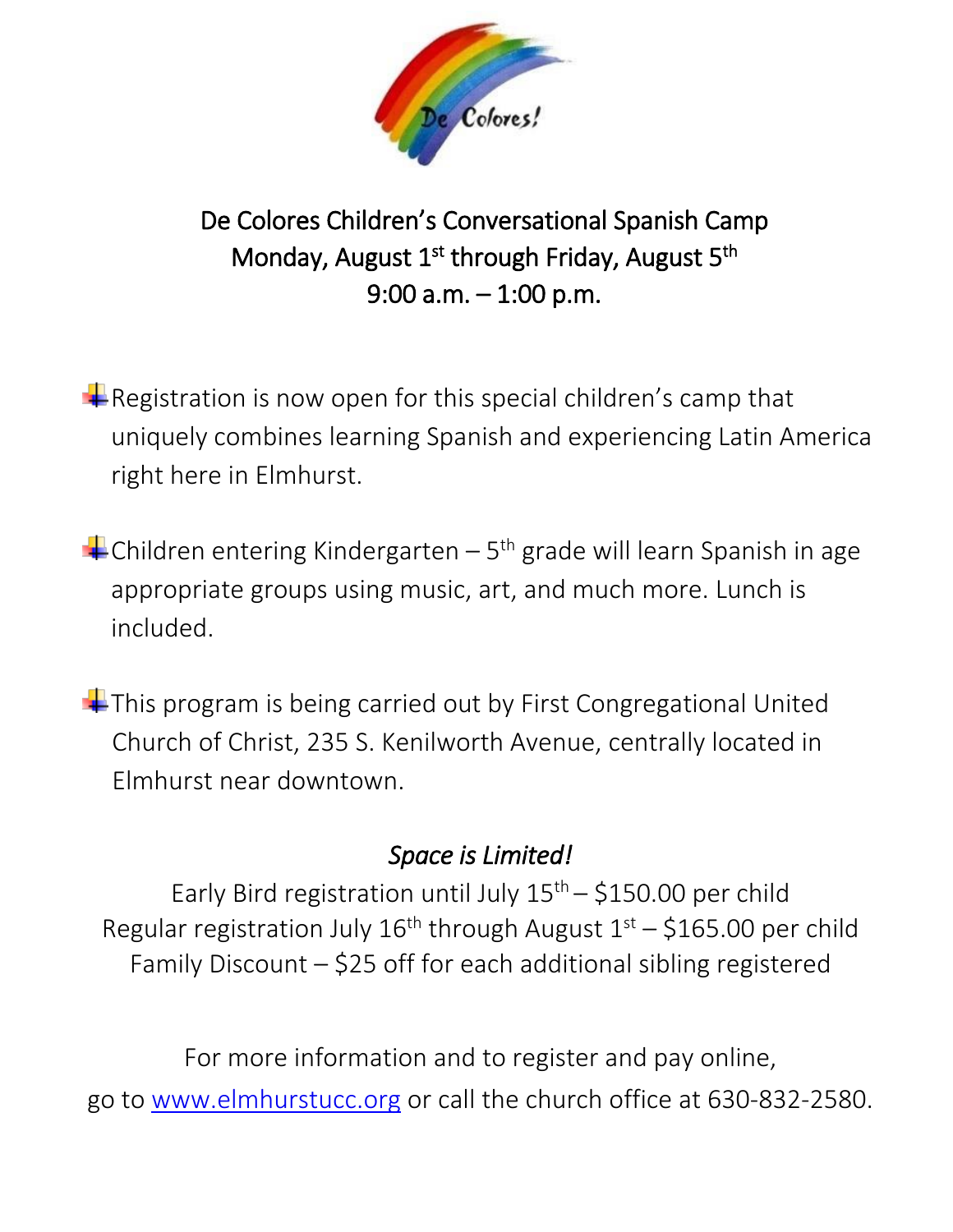

De Colores Children's Conversational Spanish Camp Monday, August 1<sup>st</sup> through Friday, August 5<sup>th</sup> 9:00 a.m. – 1:00 p.m.

Registration is now open for this special children's camp that uniquely combines learning Spanish and experiencing Latin America right here in Elmhurst.

Children entering Kindergarten – 5<sup>th</sup> grade will learn Spanish in age appropriate groups using music, art, and much more. Lunch is included.

 $\pm$  This program is being carried out by First Congregational United Church of Christ, 235 S. Kenilworth Avenue, centrally located in Elmhurst near downtown.

## *Space is Limited!*

Early Bird registration until July  $15<sup>th</sup> - $150.00$  per child Regular registration July  $16^{th}$  through August  $1^{st}$  – \$165.00 per child Family Discount – \$25 off for each additional sibling registered

For more information and to register and pay online, go to [www.elmhurstucc.org](http://www.elmhurstucc.org/) or call the church office at 630-832-2580.